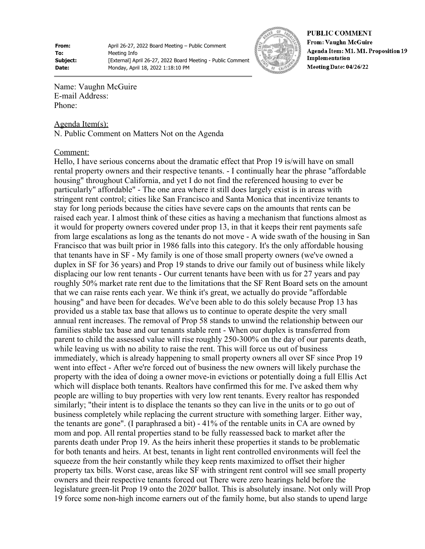**From:** April 26-27, 2022 Board Meeting – Public Comment **To:** Meeting Info **Subject:** [External] April 26-27, 2022 Board Meeting - Public Comment **Date:** Monday, April 18, 2022 1:18:10 PM



**PUBLIC COMMENT From: Vaughn McGuire** Agenda Item: M1. M1. Proposition 19 Implementation Meeting Date: 04/26/22

Name: Vaughn McGuire E-mail Address: Phone:

Agenda Item(s): N. Public Comment on Matters Not on the Agenda

## Comment:

Hello, I have serious concerns about the dramatic effect that Prop 19 is/will have on small rental property owners and their respective tenants. - I continually hear the phrase "affordable housing" throughout California, and yet I do not find the referenced housing to ever be particularly" affordable" - The one area where it still does largely exist is in areas with stringent rent control; cities like San Francisco and Santa Monica that incentivize tenants to stay for long periods because the cities have severe caps on the amounts that rents can be raised each year. I almost think of these cities as having a mechanism that functions almost as it would for property owners covered under prop 13, in that it keeps their rent payments safe from large escalations as long as the tenants do not move - A wide swath of the housing in San Francisco that was built prior in 1986 falls into this category. It's the only affordable housing that tenants have in SF - My family is one of those small property owners (we've owned a duplex in SF for 36 years) and Prop 19 stands to drive our family out of business while likely displacing our low rent tenants - Our current tenants have been with us for 27 years and pay roughly 50% market rate rent due to the limitations that the SF Rent Board sets on the amount that we can raise rents each year. We think it's great, we actually do provide "affordable housing" and have been for decades. We've been able to do this solely because Prop 13 has provided us a stable tax base that allows us to continue to operate despite the very small annual rent increases. The removal of Prop 58 stands to unwind the relationship between our families stable tax base and our tenants stable rent - When our duplex is transferred from parent to child the assessed value will rise roughly 250-300% on the day of our parents death, while leaving us with no ability to raise the rent. This will force us out of business immediately, which is already happening to small property owners all over SF since Prop 19 went into effect - After we're forced out of business the new owners will likely purchase the property with the idea of doing a owner move-in evictions or potentially doing a full Ellis Act which will displace both tenants. Realtors have confirmed this for me. I've asked them why people are willing to buy properties with very low rent tenants. Every realtor has responded similarly; "their intent is to displace the tenants so they can live in the units or to go out of business completely while replacing the current structure with something larger. Either way, the tenants are gone". (I paraphrased a bit) - 41% of the rentable units in CA are owned by mom and pop. All rental properties stand to be fully reassessed back to market after the parents death under Prop 19. As the heirs inherit these properties it stands to be problematic for both tenants and heirs. At best, tenants in light rent controlled environments will feel the squeeze from the heir constantly while they keep rents maximized to offset their higher property tax bills. Worst case, areas like SF with stringent rent control will see small property owners and their respective tenants forced out There were zero hearings held before the legislature green-lit Prop 19 onto the 2020' ballot. This is absolutely insane. Not only will Prop 19 force some non-high income earners out of the family home, but also stands to upend large